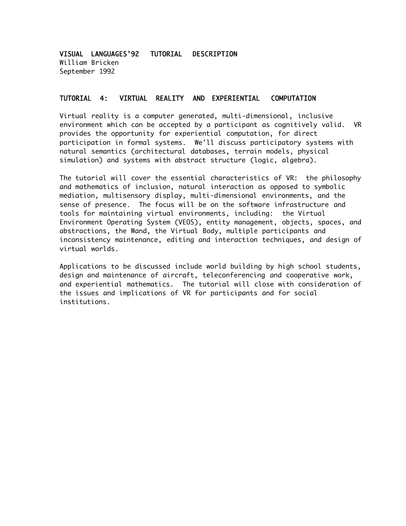VISUAL LANGUAGES'92 TUTORIAL DESCRIPTION William Bricken September 1992

#### TUTORIAL 4: VIRTUAL REALITY AND EXPERIENTIAL COMPUTATION

Virtual reality is a computer generated, multi-dimensional, inclusive environment which can be accepted by a participant as cognitively valid. VR provides the opportunity for experiential computation, for direct participation in formal systems. We'll discuss participatory systems with natural semantics (architectural databases, terrain models, physical simulation) and systems with abstract structure (logic, algebra).

The tutorial will cover the essential characteristics of VR: the philosophy and mathematics of inclusion, natural interaction as opposed to symbolic mediation, multisensory display, multi-dimensional environments, and the sense of presence. The focus will be on the software infrastructure and tools for maintaining virtual environments, including: the Virtual Environment Operating System (VEOS), entity management, objects, spaces, and abstractions, the Wand, the Virtual Body, multiple participants and inconsistency maintenance, editing and interaction techniques, and design of virtual worlds.

Applications to be discussed include world building by high school students, design and maintenance of aircraft, teleconferencing and cooperative work, and experiential mathematics. The tutorial will close with consideration of the issues and implications of VR for participants and for social institutions.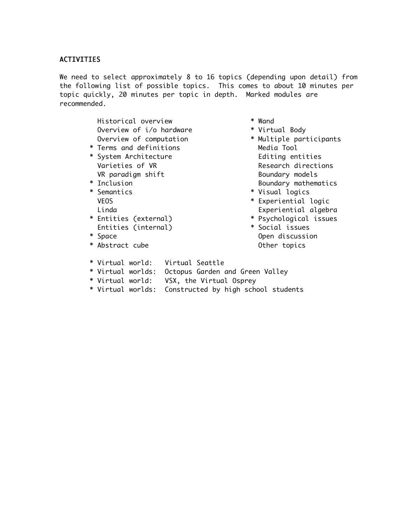# ACTIVITIES

We need to select approximately 8 to 16 topics (depending upon detail) from the following list of possible topics. This comes to about 10 minutes per topic quickly, 20 minutes per topic in depth. Marked modules are recommended.

> Historical overview \* Wand Overview of i/o hardware \* \* Virtual Body Overview of computation \* \* Multiple participants

- \* Terms and definitions Media Tool
- \* System Architecture **Editing entities** VR paradigm shift Boundary models
- 
- 
- Entities (internal) \* Social issues
- 
- \* Abstract cube  $\bullet$  Other topics
- 
- 
- Varieties of VR and the Controller Research directions \* Inclusion Boundary mathematics
- \* Semantics \* Visual logics
	- VEOS \* Experiential logic Linda Experiential algebra
- \* Entities (external) \* Psychological issues
- \* Space Open discussion
- \* Virtual world: Virtual Seattle
- \* Virtual worlds: Octopus Garden and Green Valley
- \* Virtual world: VSX, the Virtual Osprey
- \* Virtual worlds: Constructed by high school students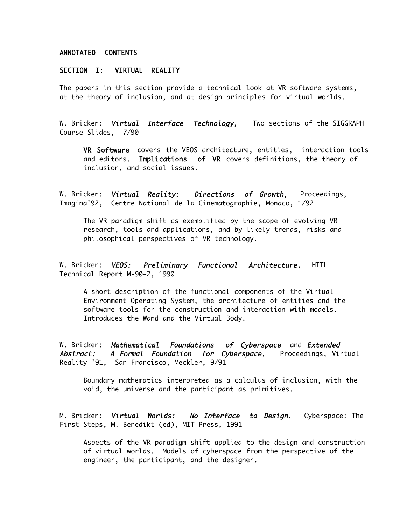## ANNOTATED CONTENTS

#### SECTION I: VIRTUAL REALITY

The papers in this section provide a technical look at VR software systems, at the theory of inclusion, and at design principles for virtual worlds.

W. Bricken: **Vi***rtual Interface Technology***,** Two sections of the SIGGRAPH Course Slides, 7/90

VR Software covers the VEOS architecture, entities, interaction tools and editors. Implications of VR covers definitions, the theory of inclusion, and social issues.

W. Bricken: Virtual Reality: Directions of Growth, Proceedings, Imagina'92, Centre National de la Cinematographie, Monaco, 1/92

The VR paradigm shift as exemplified by the scope of evolving VR research, tools and applications, and by likely trends, risks and philosophical perspectives of VR technology.

W. Bricken: VEOS: Preliminary Functional Architecture, HITL Technical Report M-90-2, 1990

A short description of the functional components of the Virtual Environment Operating System, the architecture of entities and the software tools for the construction and interaction with models. Introduces the Wand and the Virtual Body.

W. Bricken: Mathematical Foundations of Cyberspace and Extended Abstract: A Formal Foundation for Cyberspace, Proceedings, Virtual Reality '91, San Francisco, Meckler, 9/91

Boundary mathematics interpreted as a calculus of inclusion, with the void, the universe and the participant as primitives.

M. Bricken: **Vi***rtual Worlds: No Interface to Design***,** Cyberspace: The First Steps, M. Benedikt (ed), MIT Press, 1991

Aspects of the VR paradigm shift applied to the design and construction of virtual worlds. Models of cyberspace from the perspective of the engineer, the participant, and the designer.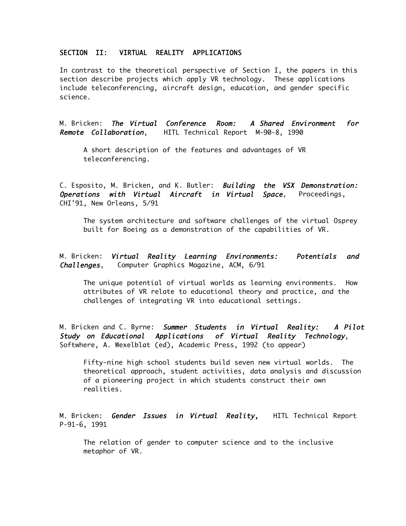# SECTION II: VIRTUAL REALITY APPLICATIONS

In contrast to the theoretical perspective of Section I, the papers in this section describe projects which apply VR technology. These applications include teleconferencing, aircraft design, education, and gender specific science.

M. Bricken: The Virtual Conference Room: A Shared Environment for Remote Collaboration, HITL Technical Report M-90-8, 1990

A short description of the features and advantages of VR teleconferencing.

C. Esposito, M. Bricken, and K. Butler: Building the VSX Demonstration: Operations with Virtual Aircraft in Virtual Space, Proceedings, CHI'91, New Orleans, 5/91

The system architecture and software challenges of the virtual Osprey built for Boeing as a demonstration of the capabilities of VR.

M. Bricken: Virtual Reality Learning Environments: Potentials and Challenges, Computer Graphics Magazine, ACM, 6/91

The unique potential of virtual worlds as learning environments. How attributes of VR relate to educational theory and practice, and the challenges of integrating VR into educational settings.

M. Bricken and C. Byrne: Summer Students in Virtual Reality: A Pilot Study on Educational Applications of Virtual Reality Technology, Softwhere, A. Wexelblat (ed), Academic Press, 1992 (to appear)

Fifty-nine high school students build seven new virtual worlds. The theoretical approach, student activities, data analysis and discussion of a pioneering project in which students construct their own realities.

M. Bricken: Gender Issues in Virtual Reality, HITL Technical Report P-91-6, 1991

The relation of gender to computer science and to the inclusive metaphor of VR.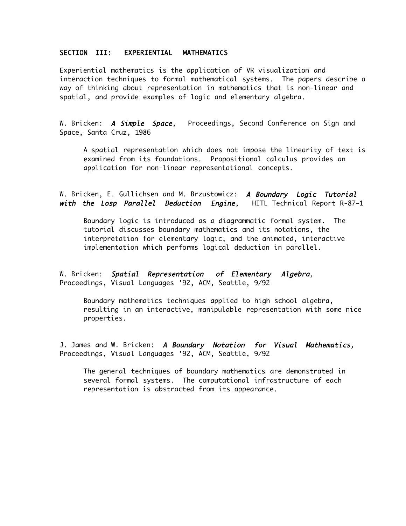## SECTION III: EXPERIENTIAL MATHEMATICS

Experiential mathematics is the application of VR visualization and interaction techniques to formal mathematical systems. The papers describe a way of thinking about representation in mathematics that is non-linear and spatial, and provide examples of logic and elementary algebra.

W. Bricken: A Simple Space, Proceedings, Second Conference on Sign and Space, Santa Cruz, 1986

A spatial representation which does not impose the linearity of text is examined from its foundations. Propositional calculus provides an application for non-linear representational concepts.

W. Bricken, E. Gullichsen and M. Brzustowicz: A Boundary Logic Tutorial with the Losp Parallel Deduction Engine, HITL Technical Report R-87-1

Boundary logic is introduced as a diagrammatic formal system. The tutorial discusses boundary mathematics and its notations, the interpretation for elementary logic, and the animated, interactive implementation which performs logical deduction in parallel.

W. Bricken: Spatial Representation of Elementary Algebra, Proceedings, Visual Languages '92, ACM, Seattle, 9/92

Boundary mathematics techniques applied to high school algebra, resulting in an interactive, manipulable representation with some nice properties.

J. James and W. Bricken: A Boundary Notation for Visual Mathematics, Proceedings, Visual Languages '92, ACM, Seattle, 9/92

The general techniques of boundary mathematics are demonstrated in several formal systems. The computational infrastructure of each representation is abstracted from its appearance.